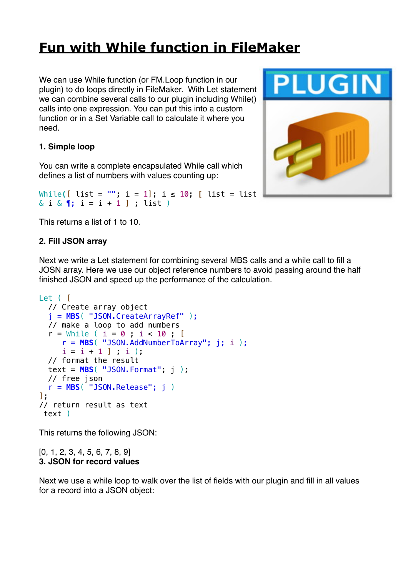## **[Fun with While function in FileMaker](https://www.mbs-plugins.com/archive/2019-07-22/Fun_with_While_function_in_Fil/monkeybreadsoftware_blog_filemaker)**

We can use While function (or FM.Loop function in our plugin) to do loops directly in FileMaker. With Let statement we can combine several calls to our plugin including While() calls into one expression. You can put this into a custom function or in a Set Variable call to calculate it where you need.

## **1. Simple loop**

You can write a complete encapsulated While call which defines a list of numbers with values counting up:

```
While([ list = ""; i = 1]; i ≤ 10; [ list = list 
\& i \& ¶; i = i + 1 ]; list )
```
This returns a list of 1 to 10.

## **2. Fill JSON array**

Next we write a Let statement for combining several MBS calls and a while call to fill a JOSN array. Here we use our object reference numbers to avoid passing around the half finished JSON and speed up the performance of the calculation.

```
Let ( [
   // Create array object 
   j = MBS( "JSON.CreateArrayRef" ); 
   // make a loop to add numbers 
  r = While ( i = 0 ; i < 10 ; [
     r = MBS( "JSON.AddNumberToArray"; i; i );
     i = i + 1 ; i ;
   // format the result 
   text = MBS( "JSON.Format"; j ); 
   // free json 
   r = MBS( "JSON.Release"; j )
]; 
// return result as text 
text )
```
This returns the following JSON:

## [0, 1, 2, 3, 4, 5, 6, 7, 8, 9] **3. JSON for record values**

Next we use a while loop to walk over the list of fields with our plugin and fill in all values for a record into a JSON object:

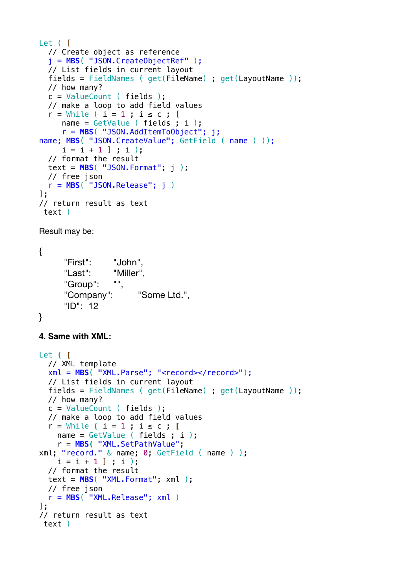```
Let ( [
    // Create object as reference 
    j = MBS( "JSON.CreateObjectRef" ); 
    // List fields in current layout 
    fields = FieldNames ( get(FileName) ; get(LayoutName )); 
    // how many? 
    c = ValueCount ( fields ); 
    // make a loop to add field values 
  r = While ( i = 1 ; i \le c ; [
          name = GetValue ( fields ; i );
          r = MBS( "JSON.AddItemToObject"; j; 
name; MBS<sup>(</sup> "JSON.CreateValue"; GetField ( name ) ));
     i = i + 1 ; i ;
    // format the result 
  text = MBS("JSON.Format"; j);  // free json 
    r = MBS( "JSON.Release"; j )
]; 
// return result as text 
 text )
Result may be:
{
      "First": "John",
      "Last": "Miller",
      "Group": ""
      "Company": "Some Ltd.",
      "ID": 12
}
4. Same with XML:
Let ( [
    // XML template 
    xml = MBS( "XML.Parse"; "<record></record>"); 
    // List fields in current layout 
    fields = FieldNames ( get(FileName) ; get(LayoutName )); 
    // how many? 
  c = ValueCount (fields);
    // make a loop to add field values 
    r = While ( i = 1 ; i ≤ c ; [
    name = GetValue ( fields ; i );
      r = MBS( "XML.SetPathValue"; 
xml; "record." & name; 0; GetField ( name ) );
    i = i + 1 ; i ;
    // format the result 
    text = MBS( "XML.Format"; xml ); 
    // free json 
    r = MBS( "XML.Release"; xml )
]; 
// return result as text 
 text )
```